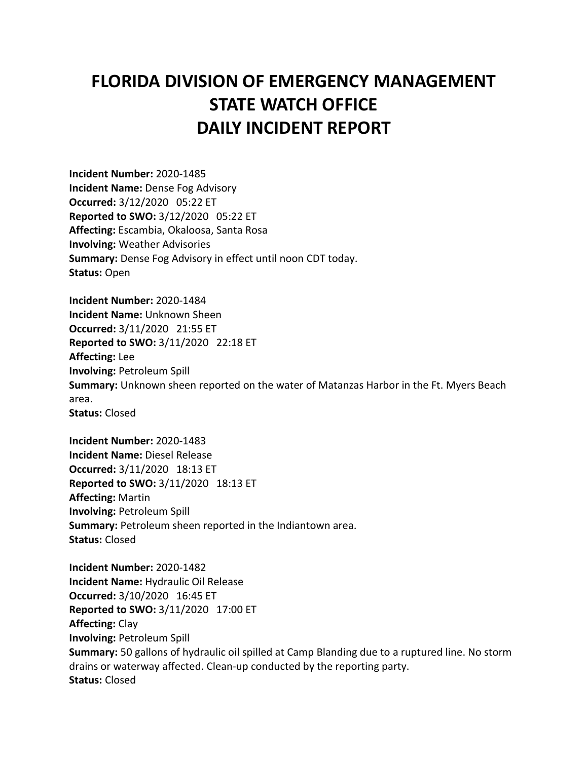## **FLORIDA DIVISION OF EMERGENCY MANAGEMENT STATE WATCH OFFICE DAILY INCIDENT REPORT**

**Incident Number:** 2020-1485 **Incident Name:** Dense Fog Advisory **Occurred:** 3/12/2020 05:22 ET **Reported to SWO:** 3/12/2020 05:22 ET **Affecting:** Escambia, Okaloosa, Santa Rosa **Involving:** Weather Advisories **Summary:** Dense Fog Advisory in effect until noon CDT today. **Status:** Open

**Incident Number:** 2020-1484 **Incident Name:** Unknown Sheen **Occurred:** 3/11/2020 21:55 ET **Reported to SWO:** 3/11/2020 22:18 ET **Affecting:** Lee **Involving:** Petroleum Spill **Summary:** Unknown sheen reported on the water of Matanzas Harbor in the Ft. Myers Beach area. **Status:** Closed

**Incident Number:** 2020-1483 **Incident Name:** Diesel Release **Occurred:** 3/11/2020 18:13 ET **Reported to SWO:** 3/11/2020 18:13 ET **Affecting:** Martin **Involving:** Petroleum Spill **Summary:** Petroleum sheen reported in the Indiantown area. **Status:** Closed

**Incident Number:** 2020-1482 **Incident Name:** Hydraulic Oil Release **Occurred:** 3/10/2020 16:45 ET **Reported to SWO:** 3/11/2020 17:00 ET **Affecting:** Clay **Involving:** Petroleum Spill **Summary:** 50 gallons of hydraulic oil spilled at Camp Blanding due to a ruptured line. No storm drains or waterway affected. Clean-up conducted by the reporting party. **Status:** Closed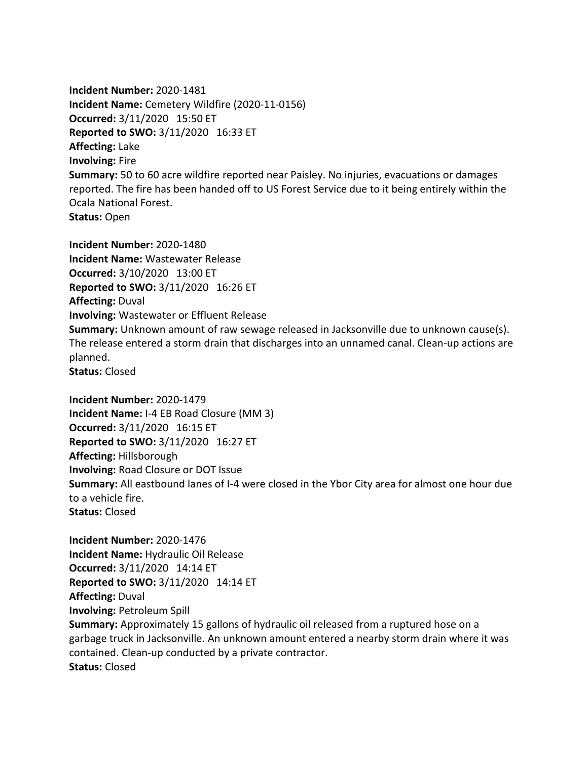**Incident Number:** 2020-1481 **Incident Name:** Cemetery Wildfire (2020-11-0156) **Occurred:** 3/11/2020 15:50 ET **Reported to SWO:** 3/11/2020 16:33 ET **Affecting:** Lake **Involving:** Fire **Summary:** 50 to 60 acre wildfire reported near Paisley. No injuries, evacuations or damages reported. The fire has been handed off to US Forest Service due to it being entirely within the Ocala National Forest. **Status:** Open

**Incident Number:** 2020-1480 **Incident Name:** Wastewater Release **Occurred:** 3/10/2020 13:00 ET **Reported to SWO:** 3/11/2020 16:26 ET **Affecting:** Duval **Involving:** Wastewater or Effluent Release **Summary:** Unknown amount of raw sewage released in Jacksonville due to unknown cause(s). The release entered a storm drain that discharges into an unnamed canal. Clean-up actions are planned. **Status:** Closed

**Incident Number:** 2020-1479 **Incident Name:** I-4 EB Road Closure (MM 3) **Occurred:** 3/11/2020 16:15 ET **Reported to SWO:** 3/11/2020 16:27 ET **Affecting:** Hillsborough **Involving:** Road Closure or DOT Issue **Summary:** All eastbound lanes of I-4 were closed in the Ybor City area for almost one hour due to a vehicle fire. **Status:** Closed

**Incident Number:** 2020-1476 **Incident Name:** Hydraulic Oil Release **Occurred:** 3/11/2020 14:14 ET **Reported to SWO:** 3/11/2020 14:14 ET **Affecting:** Duval **Involving:** Petroleum Spill **Summary:** Approximately 15 gallons of hydraulic oil released from a ruptured hose on a garbage truck in Jacksonville. An unknown amount entered a nearby storm drain where it was contained. Clean-up conducted by a private contractor. **Status:** Closed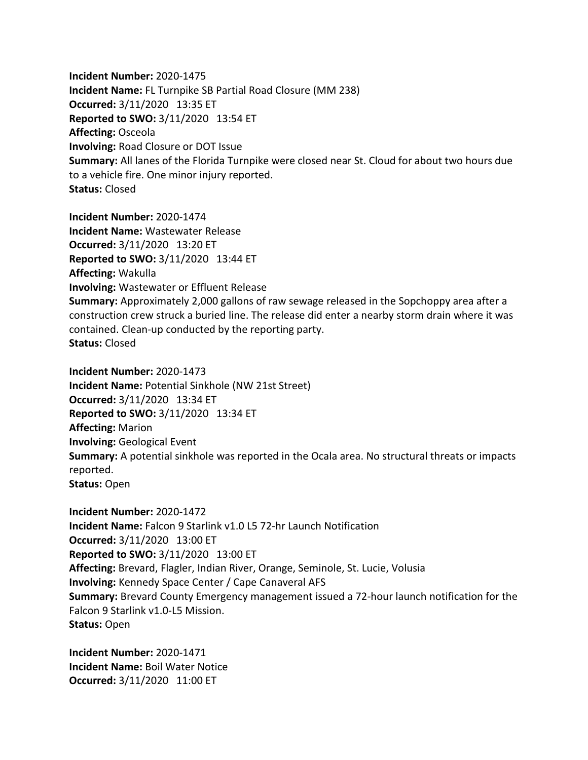**Incident Number:** 2020-1475 **Incident Name:** FL Turnpike SB Partial Road Closure (MM 238) **Occurred:** 3/11/2020 13:35 ET **Reported to SWO:** 3/11/2020 13:54 ET **Affecting:** Osceola **Involving:** Road Closure or DOT Issue **Summary:** All lanes of the Florida Turnpike were closed near St. Cloud for about two hours due to a vehicle fire. One minor injury reported. **Status:** Closed

**Incident Number:** 2020-1474 **Incident Name:** Wastewater Release **Occurred:** 3/11/2020 13:20 ET **Reported to SWO:** 3/11/2020 13:44 ET **Affecting:** Wakulla **Involving:** Wastewater or Effluent Release **Summary:** Approximately 2,000 gallons of raw sewage released in the Sopchoppy area after a construction crew struck a buried line. The release did enter a nearby storm drain where it was contained. Clean-up conducted by the reporting party. **Status:** Closed

**Incident Number:** 2020-1473 **Incident Name:** Potential Sinkhole (NW 21st Street) **Occurred:** 3/11/2020 13:34 ET **Reported to SWO:** 3/11/2020 13:34 ET **Affecting:** Marion **Involving:** Geological Event **Summary:** A potential sinkhole was reported in the Ocala area. No structural threats or impacts reported. **Status:** Open

**Incident Number:** 2020-1472 **Incident Name:** Falcon 9 Starlink v1.0 L5 72-hr Launch Notification **Occurred:** 3/11/2020 13:00 ET **Reported to SWO:** 3/11/2020 13:00 ET **Affecting:** Brevard, Flagler, Indian River, Orange, Seminole, St. Lucie, Volusia **Involving:** Kennedy Space Center / Cape Canaveral AFS **Summary:** Brevard County Emergency management issued a 72-hour launch notification for the Falcon 9 Starlink v1.0-L5 Mission. **Status:** Open

**Incident Number:** 2020-1471 **Incident Name:** Boil Water Notice **Occurred:** 3/11/2020 11:00 ET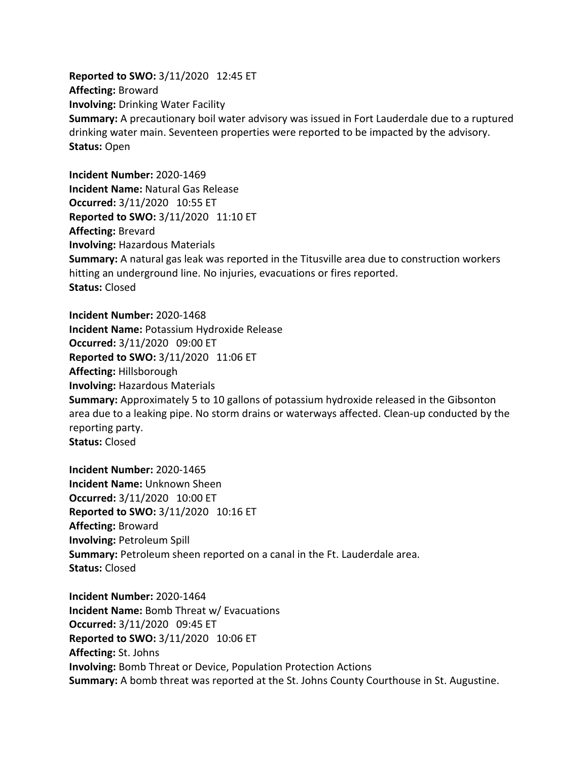**Reported to SWO:** 3/11/2020 12:45 ET **Affecting:** Broward **Involving:** Drinking Water Facility **Summary:** A precautionary boil water advisory was issued in Fort Lauderdale due to a ruptured drinking water main. Seventeen properties were reported to be impacted by the advisory. **Status:** Open

**Incident Number:** 2020-1469 **Incident Name:** Natural Gas Release **Occurred:** 3/11/2020 10:55 ET **Reported to SWO:** 3/11/2020 11:10 ET **Affecting:** Brevard **Involving:** Hazardous Materials **Summary:** A natural gas leak was reported in the Titusville area due to construction workers hitting an underground line. No injuries, evacuations or fires reported. **Status:** Closed

**Incident Number:** 2020-1468 **Incident Name:** Potassium Hydroxide Release **Occurred:** 3/11/2020 09:00 ET **Reported to SWO:** 3/11/2020 11:06 ET **Affecting:** Hillsborough **Involving:** Hazardous Materials **Summary:** Approximately 5 to 10 gallons of potassium hydroxide released in the Gibsonton area due to a leaking pipe. No storm drains or waterways affected. Clean-up conducted by the reporting party. **Status:** Closed

**Incident Number:** 2020-1465 **Incident Name:** Unknown Sheen **Occurred:** 3/11/2020 10:00 ET **Reported to SWO:** 3/11/2020 10:16 ET **Affecting:** Broward **Involving:** Petroleum Spill **Summary:** Petroleum sheen reported on a canal in the Ft. Lauderdale area. **Status:** Closed

**Incident Number:** 2020-1464 **Incident Name:** Bomb Threat w/ Evacuations **Occurred:** 3/11/2020 09:45 ET **Reported to SWO:** 3/11/2020 10:06 ET **Affecting:** St. Johns **Involving:** Bomb Threat or Device, Population Protection Actions **Summary:** A bomb threat was reported at the St. Johns County Courthouse in St. Augustine.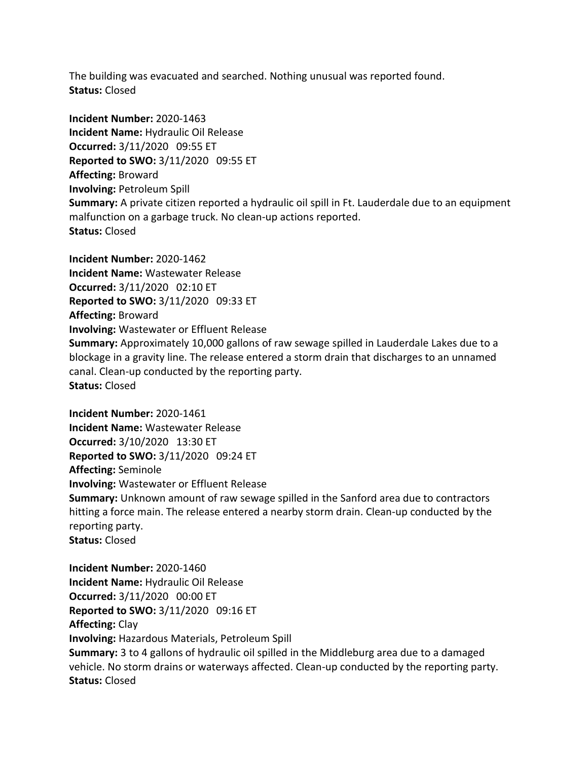The building was evacuated and searched. Nothing unusual was reported found. **Status:** Closed

**Incident Number:** 2020-1463 **Incident Name:** Hydraulic Oil Release **Occurred:** 3/11/2020 09:55 ET **Reported to SWO:** 3/11/2020 09:55 ET **Affecting:** Broward **Involving:** Petroleum Spill **Summary:** A private citizen reported a hydraulic oil spill in Ft. Lauderdale due to an equipment malfunction on a garbage truck. No clean-up actions reported. **Status:** Closed

**Incident Number:** 2020-1462 **Incident Name:** Wastewater Release **Occurred:** 3/11/2020 02:10 ET **Reported to SWO:** 3/11/2020 09:33 ET **Affecting:** Broward **Involving:** Wastewater or Effluent Release **Summary:** Approximately 10,000 gallons of raw sewage spilled in Lauderdale Lakes due to a blockage in a gravity line. The release entered a storm drain that discharges to an unnamed canal. Clean-up conducted by the reporting party. **Status:** Closed

**Incident Number:** 2020-1461 **Incident Name:** Wastewater Release **Occurred:** 3/10/2020 13:30 ET **Reported to SWO:** 3/11/2020 09:24 ET **Affecting:** Seminole **Involving:** Wastewater or Effluent Release **Summary:** Unknown amount of raw sewage spilled in the Sanford area due to contractors hitting a force main. The release entered a nearby storm drain. Clean-up conducted by the reporting party. **Status:** Closed

**Incident Number:** 2020-1460 **Incident Name:** Hydraulic Oil Release **Occurred:** 3/11/2020 00:00 ET **Reported to SWO:** 3/11/2020 09:16 ET **Affecting:** Clay **Involving:** Hazardous Materials, Petroleum Spill **Summary:** 3 to 4 gallons of hydraulic oil spilled in the Middleburg area due to a damaged vehicle. No storm drains or waterways affected. Clean-up conducted by the reporting party. **Status:** Closed